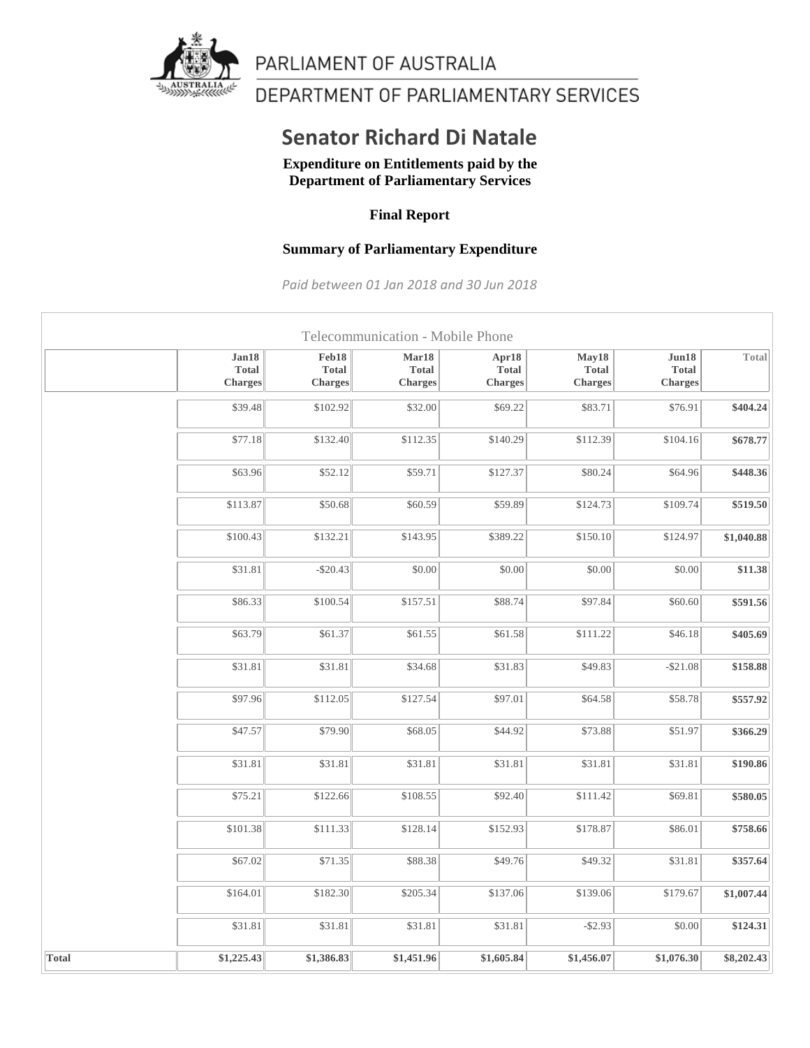

PARLIAMENT OF AUSTRALIA

DEPARTMENT OF PARLIAMENTARY SERVICES

## **Senator Richard Di Natale**

**Expenditure on Entitlements paid by the Department of Parliamentary Services**

## **Final Report**

## **Summary of Parliamentary Expenditure**

*Paid between 01 Jan 2018 and 30 Jun 2018*

|              |                                         |                                  | Telecommunication - Mobile Phone        |                                         |                                         |                                         |            |
|--------------|-----------------------------------------|----------------------------------|-----------------------------------------|-----------------------------------------|-----------------------------------------|-----------------------------------------|------------|
|              | Jan18<br><b>Total</b><br><b>Charges</b> | Feb18<br><b>Total</b><br>Charges | Mar18<br><b>Total</b><br><b>Charges</b> | Apr18<br><b>Total</b><br><b>Charges</b> | May18<br><b>Total</b><br><b>Charges</b> | Jun18<br><b>Total</b><br><b>Charges</b> | Total      |
|              | \$39.48                                 | \$102.92                         | \$32.00                                 | \$69.22                                 | \$83.71                                 | \$76.91                                 | \$404.24   |
|              | \$77.18                                 | \$132.40                         | \$112.35                                | \$140.29                                | \$112.39                                | \$104.16                                | \$678.77   |
|              | \$63.96                                 | \$52.12                          | \$59.71                                 | \$127.37                                | \$80.24                                 | \$64.96                                 | \$448.36   |
|              | \$113.87                                | \$50.68                          | \$60.59                                 | \$59.89                                 | \$124.73                                | \$109.74                                | \$519.50   |
|              | \$100.43                                | \$132.21                         | \$143.95                                | \$389.22                                | \$150.10                                | \$124.97                                | \$1,040.88 |
|              | \$31.81                                 | $-$ \$20.43                      | \$0.00                                  | \$0.00                                  | \$0.00                                  | \$0.00                                  | \$11.38    |
|              | \$86.33                                 | \$100.54                         | \$157.51                                | \$88.74                                 | \$97.84                                 | \$60.60                                 | \$591.56   |
|              | \$63.79                                 | \$61.37                          | \$61.55                                 | \$61.58                                 | \$111.22                                | \$46.18                                 | \$405.69   |
|              | \$31.81                                 | \$31.81                          | \$34.68                                 | \$31.83                                 | \$49.83                                 | $-$21.08$                               | \$158.88   |
|              | \$97.96                                 | \$112.05                         | \$127.54                                | \$97.01                                 | \$64.58                                 | \$58.78                                 | \$557.92   |
|              | \$47.57                                 | \$79.90                          | \$68.05                                 | \$44.92                                 | \$73.88                                 | \$51.97                                 | \$366.29   |
|              | \$31.81                                 | \$31.81                          | \$31.81                                 | \$31.81                                 | \$31.81                                 | \$31.81                                 | \$190.86   |
|              | \$75.21                                 | \$122.66                         | \$108.55                                | \$92.40                                 | \$111.42                                | \$69.81                                 | \$580.05   |
|              | \$101.38                                | \$111.33                         | \$128.14                                | \$152.93                                | \$178.87                                | \$86.01                                 | \$758.66   |
|              | \$67.02                                 | \$71.35                          | \$88.38                                 | \$49.76                                 | \$49.32                                 | \$31.81                                 | \$357.64   |
|              | \$164.01                                | \$182.30                         | \$205.34                                | \$137.06                                | \$139.06                                | \$179.67                                | \$1,007.44 |
|              | \$31.81                                 | \$31.81                          | \$31.81                                 | \$31.81                                 | $-$ \$2.93                              | \$0.00                                  | \$124.31   |
| <b>Total</b> | \$1,225.43                              | \$1,386.83                       | \$1,451.96                              | \$1,605.84                              | \$1,456.07                              | \$1,076.30                              | \$8,202.43 |